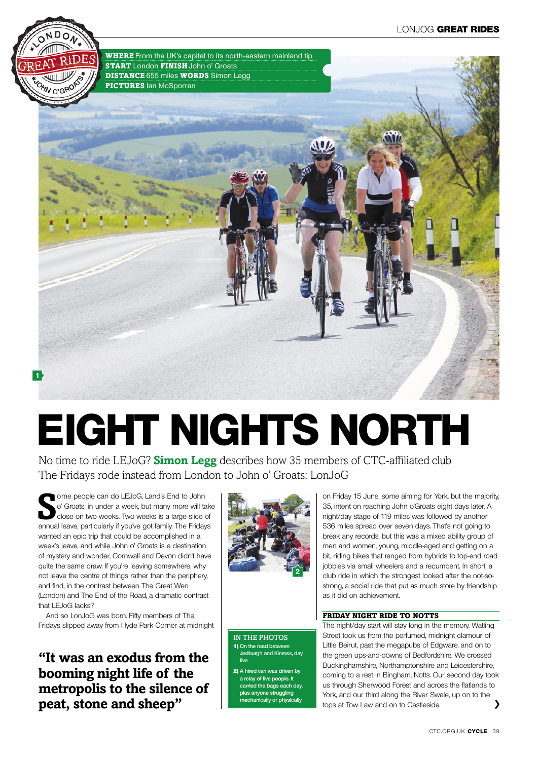

# **eight nights north**

No time to ride LEJoG? **Simon Legg** describes how 35 members of CTC-affiliated club The Fridays rode instead from London to John o' Groats: LonJoG

**S** ome people can do LEJoG, Land's End to John o' Groats, in under a week, but many more will take<br>close on two weeks. Two weeks is a large slice of<br>annual leave, particularly if you've got family. The Fridays ome people can do LEJoG, Land's End to John o' Groats, in under a week, but many more will take close on two weeks. Two weeks is a large slice of wanted an epic trip that could be accomplished in a week's leave, and while John o' Groats is a destination of mystery and wonder, Cornwall and Devon didn't have quite the same draw. If you're leaving somewhere, why not leave the centre of things rather than the periphery, and find, in the contrast between The Great Wen (London) and The End of the Road, a dramatic contrast that LEJoG lacks?

And so LonJoG was born. Fifty members of The Fridays slipped away from Hyde Park Corner at midnight

**"It was an exodus from the booming night life of the metropolis to the silence of peat, stone and sheep"**



IN THE PHOTOS 1) **On the road between Jedburgh and Kinross, day five**

2) **A hired van was driven by a relay of five people. It carried the bags each day, plus anyone struggling mechanically or physically**

on Friday 15 June, some aiming for York, but the majority, 35, intent on reaching John o'Groats eight days later. A night/day stage of 119 miles was followed by another 536 miles spread over seven days. That's not going to break any records, but this was a mixed ability group of men and women, young, middle-aged and getting on a bit, riding bikes that ranged from hybrids to top-end road jobbies via small wheelers and a recumbent. In short, a club ride in which the strongest looked after the not-sostrong, a social ride that put as much store by friendship as it did on achievement.

#### Friday night ride to Notts

The night/day start will stay long in the memory. Watling Street took us from the perfumed, midnight clamour of Little Beirut, past the megapubs of Edgware, and on to the green ups-and-downs of Bedfordshire. We crossed Buckinghamshire, Northamptonshire and Leicestershire, coming to a rest in Bingham, Notts. Our second day took us through Sherwood Forest and across the flatlands to York, and our third along the River Swale, up on to the tops at Tow Law and on to Castleside.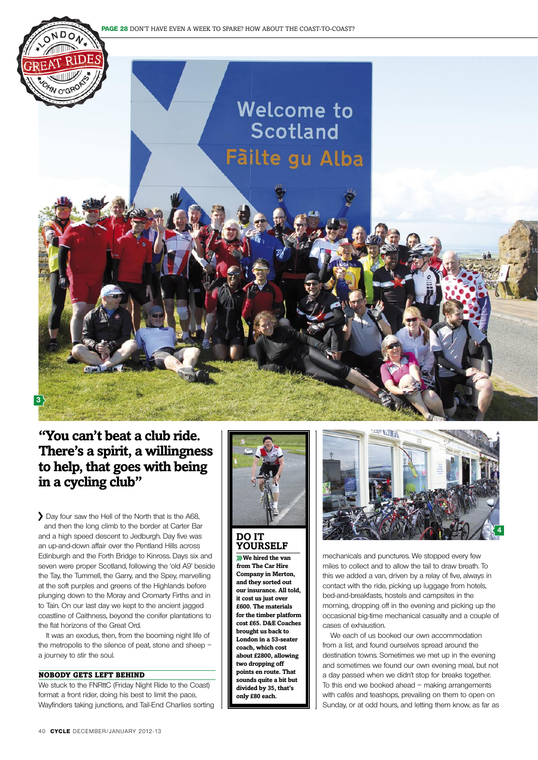

## **"You can't beat a club ride. There's a spirit, a willingness to help, that goes with being in a cycling club"**

Day four saw the Hell of the North that is the A68, and then the long climb to the border at Carter Bar and a high speed descent to Jedburgh. Day five was an up-and-down affair over the Pentland Hills across Edinburgh and the Forth Bridge to Kinross. Days six and seven were proper Scotland, following the 'old A9' beside the Tay, the Tummell, the Garry, and the Spey, marvelling at the soft purples and greens of the Highlands before plunging down to the Moray and Cromarty Firths and in to Tain. On our last day we kept to the ancient jagged coastline of Caithness, beyond the conifer plantations to the flat horizons of the Great Ord.

It was an exodus, then, from the booming night life of the metropolis to the silence of peat, stone and sheep – a journey to stir the soul.

#### Nobody gets left behind

We stuck to the FNRttC (Friday Night Ride to the Coast) format: a front rider, doing his best to limit the pace, Wayfinders taking junctions, and Tail-End Charlies sorting



#### **Do it yourself**

**We hired the van from The Car Hire Company in Merton, and they sorted out our insurance. All told, it cost us just over £600. The materials for the timber platform cost £65. D&E Coaches brought us back to London in a 53-seater coach, which cost about £2800, allowing two dropping off points en route. That sounds quite a bit but divided by 35, that's only £80 each.**



mechanicals and punctures. We stopped every few miles to collect and to allow the tail to draw breath. To this we added a van, driven by a relay of five, always in contact with the ride, picking up luggage from hotels, bed-and-breakfasts, hostels and campsites in the morning, dropping off in the evening and picking up the occasional big-time mechanical casualty and a couple of cases of exhaustion.

We each of us booked our own accommodation from a list, and found ourselves spread around the destination towns. Sometimes we met up in the evening and sometimes we found our own evening meal, but not a day passed when we didn't stop for breaks together. To this end we booked ahead – making arrangements with cafés and teashops, prevailing on them to open on Sunday, or at odd hours, and letting them know, as far as